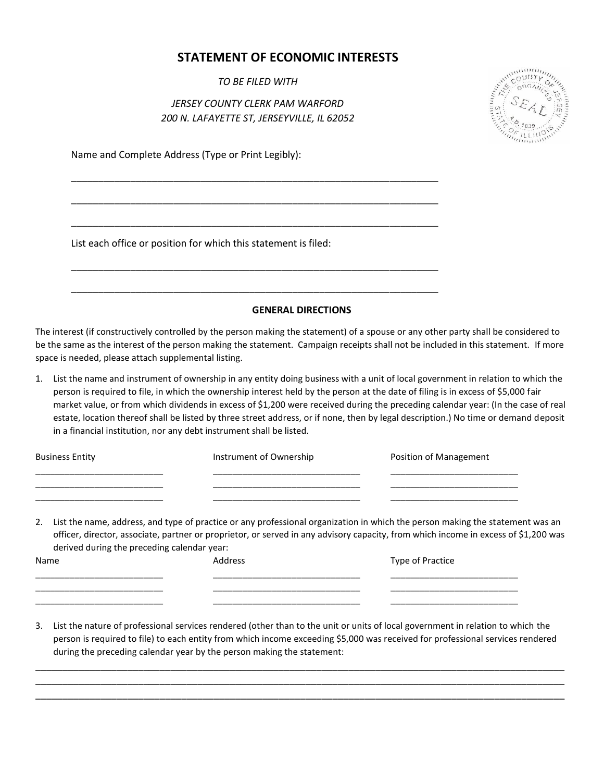## **STATEMENT OF ECONOMIC INTERESTS**

*TO BE FILED WITH*

## *JERSEY COUNTY CLERK PAM WARFORD 200 N. LAFAYETTE ST, JERSEYVILLE, IL 62052*

\_\_\_\_\_\_\_\_\_\_\_\_\_\_\_\_\_\_\_\_\_\_\_\_\_\_\_\_\_\_\_\_\_\_\_\_\_\_\_\_\_\_\_\_\_\_\_\_\_\_\_\_\_\_\_\_\_\_\_\_\_\_\_\_\_\_\_\_

\_\_\_\_\_\_\_\_\_\_\_\_\_\_\_\_\_\_\_\_\_\_\_\_\_\_\_\_\_\_\_\_\_\_\_\_\_\_\_\_\_\_\_\_\_\_\_\_\_\_\_\_\_\_\_\_\_\_\_\_\_\_\_\_\_\_\_\_

\_\_\_\_\_\_\_\_\_\_\_\_\_\_\_\_\_\_\_\_\_\_\_\_\_\_\_\_\_\_\_\_\_\_\_\_\_\_\_\_\_\_\_\_\_\_\_\_\_\_\_\_\_\_\_\_\_\_\_\_\_\_\_\_\_\_\_\_

\_\_\_\_\_\_\_\_\_\_\_\_\_\_\_\_\_\_\_\_\_\_\_\_\_\_\_\_\_\_\_\_\_\_\_\_\_\_\_\_\_\_\_\_\_\_\_\_\_\_\_\_\_\_\_\_\_\_\_\_\_\_\_\_\_\_\_\_

\_\_\_\_\_\_\_\_\_\_\_\_\_\_\_\_\_\_\_\_\_\_\_\_\_\_\_\_\_\_\_\_\_\_\_\_\_\_\_\_\_\_\_\_\_\_\_\_\_\_\_\_\_\_\_\_\_\_\_\_\_\_\_\_\_\_\_\_



Name and Complete Address (Type or Print Legibly):

List each office or position for which this statement is filed:

## **GENERAL DIRECTIONS**

The interest (if constructively controlled by the person making the statement) of a spouse or any other party shall be considered to be the same as the interest of the person making the statement. Campaign receipts shall not be included in this statement. If more space is needed, please attach supplemental listing.

1. List the name and instrument of ownership in any entity doing business with a unit of local government in relation to which the person is required to file, in which the ownership interest held by the person at the date of filing is in excess of \$5,000 fair market value, or from which dividends in excess of \$1,200 were received during the preceding calendar year: (In the case of real estate, location thereof shall be listed by three street address, or if none, then by legal description.) No time or demand deposit in a financial institution, nor any debt instrument shall be listed.

| <b>Business Entity</b> | Instrument of Ownership | Position of Management |
|------------------------|-------------------------|------------------------|
|                        |                         |                        |
|                        |                         |                        |

2. List the name, address, and type of practice or any professional organization in which the person making the statement was an officer, director, associate, partner or proprietor, or served in any advisory capacity, from which income in excess of \$1,200 was derived during the preceding calendar year:

| Name | Address | Type of Practice |
|------|---------|------------------|
|      |         |                  |
|      |         |                  |

3. List the nature of professional services rendered (other than to the unit or units of local government in relation to which the person is required to file) to each entity from which income exceeding \$5,000 was received for professional services rendered during the preceding calendar year by the person making the statement:

\_\_\_\_\_\_\_\_\_\_\_\_\_\_\_\_\_\_\_\_\_\_\_\_\_\_\_\_\_\_\_\_\_\_\_\_\_\_\_\_\_\_\_\_\_\_\_\_\_\_\_\_\_\_\_\_\_\_\_\_\_\_\_\_\_\_\_\_\_\_\_\_\_\_\_\_\_\_\_\_\_\_\_\_\_\_\_\_\_\_\_\_\_\_\_\_\_\_ \_\_\_\_\_\_\_\_\_\_\_\_\_\_\_\_\_\_\_\_\_\_\_\_\_\_\_\_\_\_\_\_\_\_\_\_\_\_\_\_\_\_\_\_\_\_\_\_\_\_\_\_\_\_\_\_\_\_\_\_\_\_\_\_\_\_\_\_\_\_\_\_\_\_\_\_\_\_\_\_\_\_\_\_\_\_\_\_\_\_\_\_\_\_\_\_\_\_ \_\_\_\_\_\_\_\_\_\_\_\_\_\_\_\_\_\_\_\_\_\_\_\_\_\_\_\_\_\_\_\_\_\_\_\_\_\_\_\_\_\_\_\_\_\_\_\_\_\_\_\_\_\_\_\_\_\_\_\_\_\_\_\_\_\_\_\_\_\_\_\_\_\_\_\_\_\_\_\_\_\_\_\_\_\_\_\_\_\_\_\_\_\_\_\_\_\_